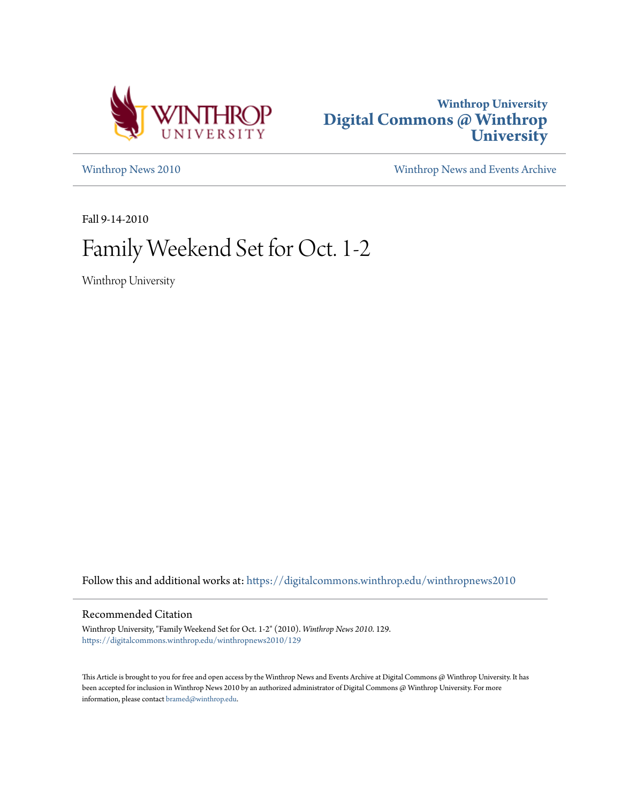



[Winthrop News 2010](https://digitalcommons.winthrop.edu/winthropnews2010?utm_source=digitalcommons.winthrop.edu%2Fwinthropnews2010%2F129&utm_medium=PDF&utm_campaign=PDFCoverPages) [Winthrop News and Events Archive](https://digitalcommons.winthrop.edu/winthropnewsarchives?utm_source=digitalcommons.winthrop.edu%2Fwinthropnews2010%2F129&utm_medium=PDF&utm_campaign=PDFCoverPages)

Fall 9-14-2010

## Family Weekend Set for Oct. 1-2

Winthrop University

Follow this and additional works at: [https://digitalcommons.winthrop.edu/winthropnews2010](https://digitalcommons.winthrop.edu/winthropnews2010?utm_source=digitalcommons.winthrop.edu%2Fwinthropnews2010%2F129&utm_medium=PDF&utm_campaign=PDFCoverPages)

## Recommended Citation

Winthrop University, "Family Weekend Set for Oct. 1-2" (2010). *Winthrop News 2010*. 129. [https://digitalcommons.winthrop.edu/winthropnews2010/129](https://digitalcommons.winthrop.edu/winthropnews2010/129?utm_source=digitalcommons.winthrop.edu%2Fwinthropnews2010%2F129&utm_medium=PDF&utm_campaign=PDFCoverPages)

This Article is brought to you for free and open access by the Winthrop News and Events Archive at Digital Commons @ Winthrop University. It has been accepted for inclusion in Winthrop News 2010 by an authorized administrator of Digital Commons @ Winthrop University. For more information, please contact [bramed@winthrop.edu](mailto:bramed@winthrop.edu).